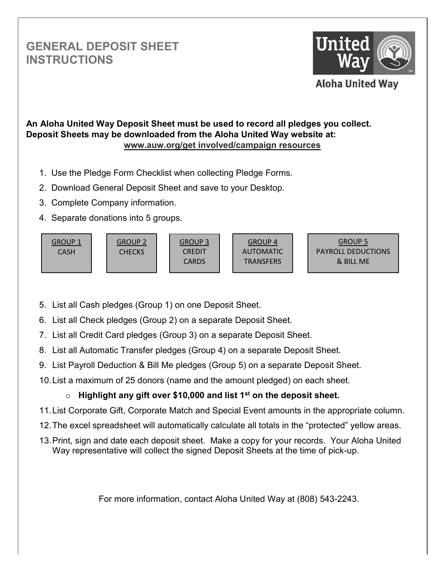## **GENERAL DEPOSIT SHEET INSTRUCTIONS**



## **An Aloha United Way Deposit Sheet must be used to record all pledges you collect. Deposit Sheets may be downloaded from the Aloha United Way website at: www.auw.org/get involved/campaign resources**

- 1. Use the Pledge Form Checklist when collecting Pledge Forms.
- 2. Download General Deposit Sheet and save to your Desktop.
- 3. Complete Company information.
- 4. Separate donations into 5 groups.



- 5. List all Cash pledges (Group 1) on one Deposit Sheet.
- 6. List all Check pledges (Group 2) on a separate Deposit Sheet.
- 7. List all Credit Card pledges (Group 3) on a separate Deposit Sheet.
- 8. List all Automatic Transfer pledges (Group 4) on a separate Deposit Sheet.
- 9. List Payroll Deduction & Bill Me pledges (Group 5) on a separate Deposit Sheet.
- 10. List a maximum of 25 donors (name and the amount pledged) on each sheet.

## o **Highlight any gift over \$10,000 and list 1st on the deposit sheet.**

- 11. List Corporate Gift, Corporate Match and Special Event amounts in the appropriate column.
- 12. The excel spreadsheet will automatically calculate all totals in the "protected" yellow areas.
- 13. Print, sign and date each deposit sheet. Make a copy for your records. Your Aloha United Way representative will collect the signed Deposit Sheets at the time of pick-up.

For more information, contact Aloha United Way at (808) 543-2243.